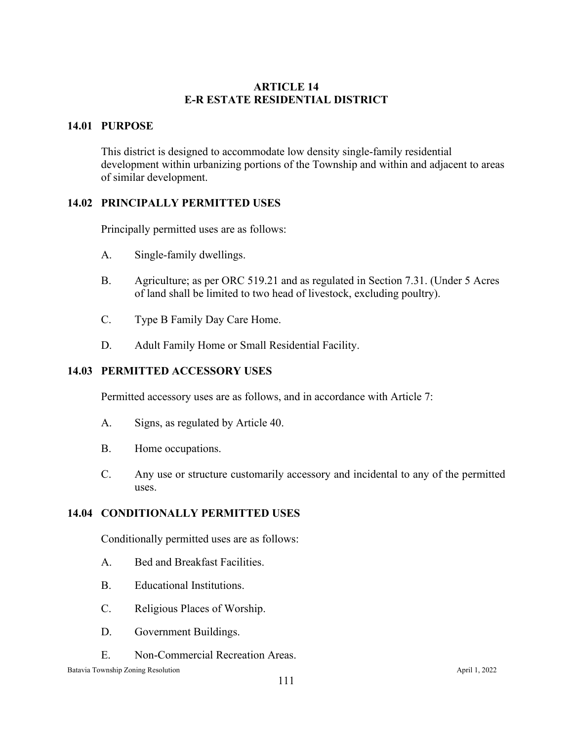## **ARTICLE 14 E-R ESTATE RESIDENTIAL DISTRICT**

# **14.01 PURPOSE**

This district is designed to accommodate low density single-family residential development within urbanizing portions of the Township and within and adjacent to areas of similar development.

## **14.02 PRINCIPALLY PERMITTED USES**

Principally permitted uses are as follows:

- A. Single-family dwellings.
- B. Agriculture; as per ORC 519.21 and as regulated in Section 7.31. (Under 5 Acres of land shall be limited to two head of livestock, excluding poultry).
- C. Type B Family Day Care Home.
- D. Adult Family Home or Small Residential Facility.

#### **14.03 PERMITTED ACCESSORY USES**

Permitted accessory uses are as follows, and in accordance with Article 7:

- A. Signs, as regulated by Article 40.
- B. Home occupations.
- C. Any use or structure customarily accessory and incidental to any of the permitted uses.

#### **14.04 CONDITIONALLY PERMITTED USES**

Conditionally permitted uses are as follows:

- A. Bed and Breakfast Facilities.
- B. Educational Institutions.
- C. Religious Places of Worship.
- D. Government Buildings.
- E. Non-Commercial Recreation Areas.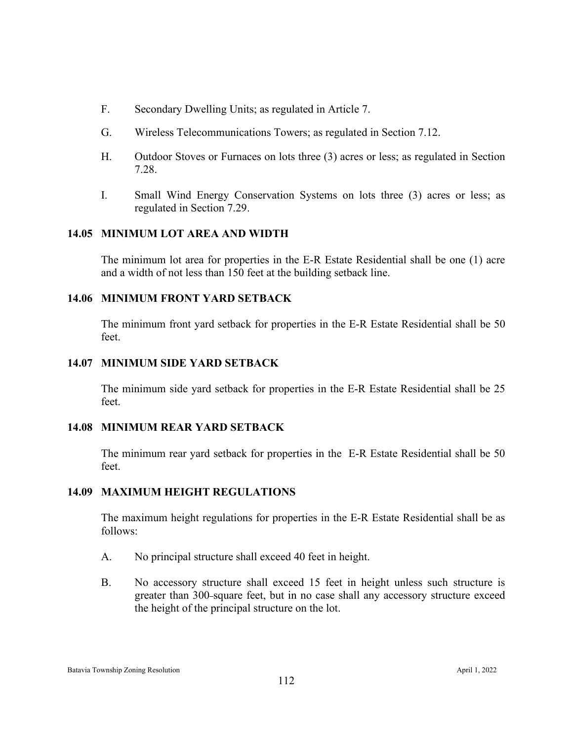- F. Secondary Dwelling Units; as regulated in Article 7.
- G. Wireless Telecommunications Towers; as regulated in Section 7.12.
- H. Outdoor Stoves or Furnaces on lots three (3) acres or less; as regulated in Section 7.28.
- I. Small Wind Energy Conservation Systems on lots three (3) acres or less; as regulated in Section 7.29.

#### **14.05 MINIMUM LOT AREA AND WIDTH**

The minimum lot area for properties in the E-R Estate Residential shall be one (1) acre and a width of not less than 150 feet at the building setback line.

#### **14.06 MINIMUM FRONT YARD SETBACK**

The minimum front yard setback for properties in the E-R Estate Residential shall be 50 feet.

#### **14.07 MINIMUM SIDE YARD SETBACK**

The minimum side yard setback for properties in the E-R Estate Residential shall be 25 feet.

#### **14.08 MINIMUM REAR YARD SETBACK**

The minimum rear yard setback for properties in the E-R Estate Residential shall be 50 feet.

#### **14.09 MAXIMUM HEIGHT REGULATIONS**

The maximum height regulations for properties in the E-R Estate Residential shall be as follows:

- A. No principal structure shall exceed 40 feet in height.
- B. No accessory structure shall exceed 15 feet in height unless such structure is greater than 300-square feet, but in no case shall any accessory structure exceed the height of the principal structure on the lot.

Batavia Township Zoning Resolution April 1, 2022